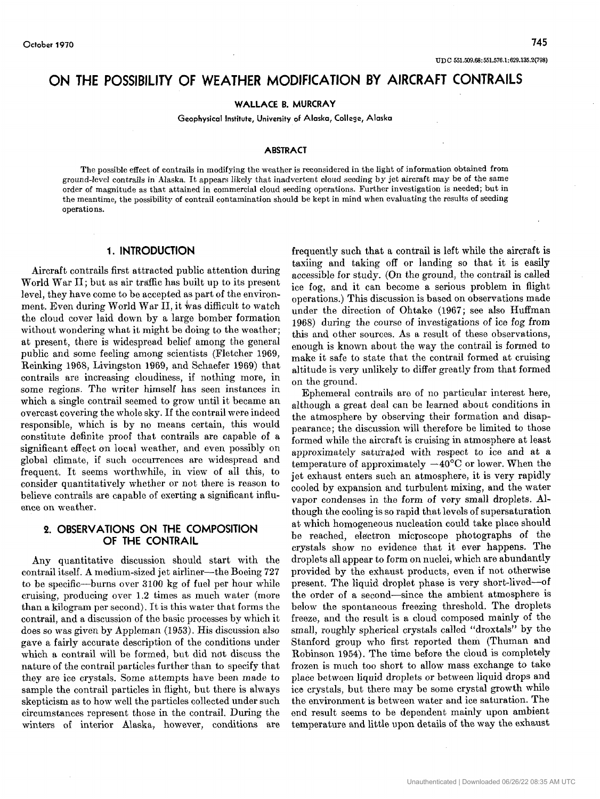# **ON THE POSSIBILITY OF WEATHER MODIFICATION BY AIRCRAFT CONTRAILS**

**WALLACE B. MURCRAY** 

**Geophysical Institute, University of Alaska, College, Alaska** 

### **ABSTRACT**

The possible effect of contrails in modifying the weather is reconsidered in the light of information obtained from ground-level contrails in **Alaska.** It appears likely that inadvertent cloud seeding by jet aircraft may be **of** the same order of magnitude as that attained in commercial cloud seeding operations. Further investigation is needed; but in the meantime, the possibility of contrail contamination should be kept in mind when evaluating the results of seeding operations.

## **1. INTRODUCTION**

Aircraft contrails first attracted public attention during World War 11; but as air traffic has built up to its present level, they have come to be accepted as part of the environment. Even during World War II, it was difficult to watch the cloud cover laid down by a large bomber formation without wondering what it might be doing to the weather; at present, there is widespread belief among the general public and some feeling among scientists (Fletcher 1969, Reinking 1968, Livingston 1969, and Schaefer 1969) that contrails are increasing cloudiness, if nothing more, in some regions. The writer himself has seen instances in which a single contrail seemed to grow until it became an overcast covering the whole sky. If the con trail were indeed responsible, which is by no means certain, this would constitute definite proof that contrails are capable of a significant effect on local weather, and even possibly on global climate, if such occurrences are widespread and frequent. It seems worthwhile, in view of all this, to consider quantitatively whether or not there is reason to believe contrails are capable of exerting a significant influence on weather.

## **2. OBSERVATIONS ON THE COMPOSITION OF THE CONTRAIL**

Any quantitative discussion should start with the contrail itself. A medium-sized jet airliner-the Boeing 727 to be specific-burns over 3100 kg of fuel per hour while cruising, producing over **1.2** times as much water (more than a kilogram per second). It is this mater that forms the contrail, and a discussion of the basic processes by which it does so was given by Appleman (1953). His discussion also gave a fairly accurate description of the conditions under which a contrail will be formed, but did ndt discuss the nature of the contrail particles further than to specify that they are ice crystals. Some attempts have been made to sample the contrail particles in flight, but there is always skepticism as to how well the particles collected under such circumstances represent those in the contrail. During the winters of interior Alaska, however, conditions are frequently such that a contrail is left while the aircraft is taxiing and taking off or landing so that it is easily accessible for study. (On the ground, the contrail is called ice fog, and it can become a serious problem in flight operations.) This discussion is based on observations made under the direction of Ohtako (1967; see also Huffman 1968) during the course of investigations of ice fog from this and other sources. As a result of these observations, enough is known about the way the contrail is formed to make it safe to state that the contrail formed at cruising altitude is very unlikely to differ greatly from that formed on the ground.

Ephemeral contrails are of no particular interest here, although a great deal can be learned about conditions in the atmosphere by observing their formation and disappearance ; the discussion will therefore be limited to those formed while the aircraft is cruising in atmosphere at least approximately saturabed with respect to ice and at a temperature of approximately  $-40^{\circ}$ C or lower. When the jet exhaust enters such an atmosphere, it is very rapidly cooled by expansion and turbulent mixing, and the water vapor condenses in the form of very small droplets. Although the cooling is so rapid that levels of supersaturation at which homogeneous nucleation could take place should be reached, electron microscope photographs of the crystals show no evidence that it ever happens. The droplets all appear to form on nuclei, which are abundantly provided by the exhaust products, even if not otherwise present. The liquid droplet phase is very short-lived-of the order of a second-since the ambient atmosphere is below the spontaneous freezing threshold. The droplets freeze, and the result is a cloud composed mainly of the small, roughly spherical crystals called "droxtals" by the Stanford group who first reported them (Thuman and Robinson 1954). The time before the cloud is completely frozen is much too short to allow mass exchange to take place between liquid droplets or between liquid drops and ice crystals, but there may be some crystal growth while the environment is between water and ice saturation. The end result seems to be dependent mainly upon ambient temperature and little upon details of the way the exhaust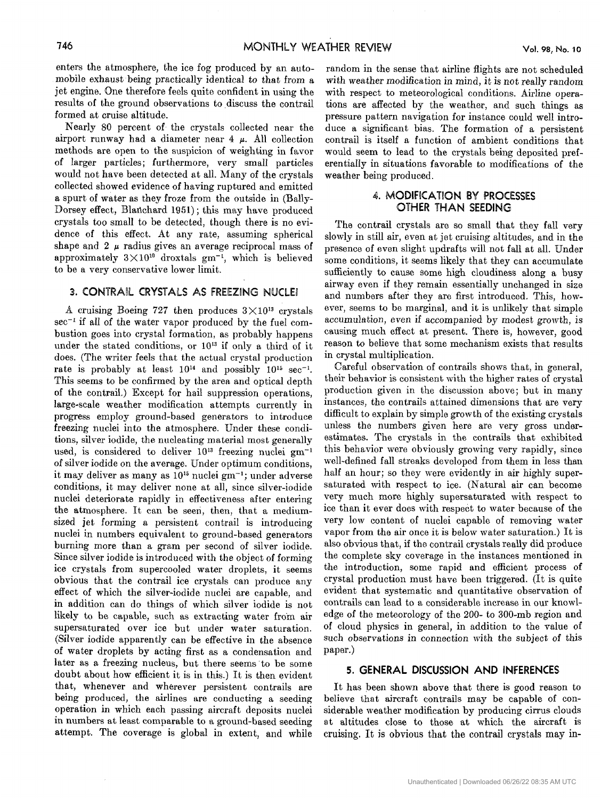enters the atmosphere, the ice fog produced by an automobile exhaust being practically identical to that from a jet engine. One therefore feels quite confident in using the results of the ground observations to discuss the contrail formed at cruise altitude.

Nearly 80 percent of. the crystals collected near the airport runway had a diameter near  $4 \mu$ . All collection methods are open to the suspicion of weighting in favor of larger particles; furthermore, very small particles would not have been detected at all. Many of the crystals collected showed evidence of having ruptured and emitted a spurt of water as they froze from the outside in (Bally-Dorsey effect, Blanchard 1951); this may have produced crystals too small to be detected, though there is no evidence of this effect. At any rate, assuming spherical shape and **2** *p* radius gives an average reciprocal mass of approximately  $3 \times 10^{10}$  droxtals gm<sup>-1</sup>, which is believed to be a very conservative lower limit,.

## **3. CONTRAIL CRYSTALS AS FREEZING NUCLEI**

A cruising Boeing 727 then produces  $3 \times 10^{13}$  crystals  $\sec^{-1}$  if all of the water vapor produced by the fuel combustion goes into crystal formation, as probably happens under the stated conditions, or  $10^{13}$  if only a third of it does. (The writer feels that the actual crystal production rate is probably at least  $10^{14}$  and possibly  $10^{15}$  sec<sup>-1</sup>. This seems to be confirmed by the area and optical depth of the contrail.) Except for hail suppression operations, large-scale weather modification attempts currently in progress employ ground-based generators to introduce freezing nuclei into the atmosphere. Under these conditions, silver iodide, the nucleating material most generally used, is considered to deliver  $10^{13}$  freezing nuclei  $gm^{-1}$ of silver iodide on the average. Under optimum conditions, it may deliver as many as 1015 nuclei gm-'; under adverse conditions, it may deliver none at all, since silver-iodide nuclei deteriorate rapidly in effectiveness after entering the atmosphere. It can be seen, then, that a mediumsized jet forming a persistent contrail is introducing nuclei in numbers equivalent to ground-based generators burning more than a gram per second of silver iodide. Since silver iodide is introduced with the object of forming ice crystals from supercooled water droplets, it seems obvious that the contrail ice crystals can produce any effect of which the silver-iodide nuclei are capable, and in addition can do things of which silver iodide is not likely to be capable, such as extracting water from air supersaturated over ice but under water saturation. (Silver iodide apparently can be effective in the absence of water droplets by acting first as a condensation and later as a freezing nucleus, but there seems to be some doubt about how efficient it is in this.) It is then evident that, whenever and wherever persistent contrails are being produced, the airlines are conducting a seeding operation in which each passing aircraft deposits nuclei in numbers at least comparable to a ground-based seeding attempt. The coverage is global in extent, and while

random in the sense that airline flights are not scheduled with weather modification in mind, it is not really random with respect to meteorological conditions. Airline operations are affected by the weather, and such things as pressure pattern navigation for instance could well introduce a significant bias. The formation of a persistent contrail is itself a function of ambient conditions that would seem to lead to the crystals being deposited preferentially in situations favorable to modifications of the weather being produced.

# 4. MODIFICATION BY PROCESSES **OTHER THAN SEEDING**

The contrail crystals are so small that they fall very slowly in still air, even at jet cruising altitudes, and in the presence of even slight updrafts will not fall at all. Under some conditions, it seems likely that they can accumulate sufficiently to cause some high cloudiness along a busy airway even if they remain essentially unchanged in size and numbers after they are first introduced. This, however, seems to be marginal, and it is unlikely that simple accumulation, even if accompanied by modest growth, is causing much effect at present. There is, however, good reason to believe that some mechanism exists that results in crystal multiplication.

Careful observation of contrails shows that, in general, their behavior is consistent with the higher rates of crystal production given in the discussion above; but in many instances, the contrails attained dimensions that are very difficult to explain by simple growth of the existing crystals unless the numbers given here are very gross underestimates. The crystals in the contrails that exhibited this behavior were obviously growing very rapidly, since well-defined fall streaks developed from them in less than half an hour; so they were evidently in air highly supersaturated with respect to ice. (Natural air can become very much more highly supersaturated with respect to ice than it ever does with respect to water because of the very low content of nuclei capable of removing water vapor from the air once it is below water saturation.) It is also obvious that, if the contrail crystals really did produce the complete sky coverage in the instances mentioned in the introduction, some rapid and efficient process of crystal production must have been triggered. (It is quite evident that systematic and quantitative observation of contrails can lead to a considerable increase in our knowledge of the meteorology of the 200- to 300-mb region and of cloud physics in general, in addition to the value of such observations in connection with the subject of this paper.)

## **5. GENERAL DISCUSSION AND INFERENCES**

It has been shown above that there is good reason to believe that aircraft contrails may be capable of considerable weather modification by producing cirrus clouds at altitudes close to those at which the aircraft is cruising. It is obvious that the contrail crystals may in-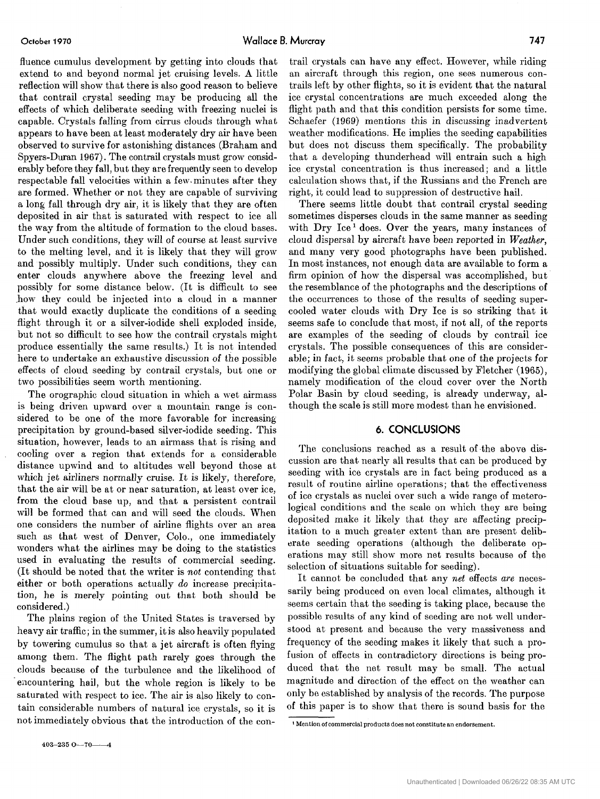fluence cumulus development by getting into clouds that extend to and beyond normal jet cruising levels. **A** little reflection will show that there is also good reason to believe that contrail crystal seeding may be producing all the effects of which deliberate seeding with freezing nuclei is capable. Crystals falling from cirrus clouds through what appears to have been at least moderately dry air have been observed to survive for astonishing distances (Braham and Spyers-Duran **1967).** The contrail crystals must grow considerably before they fall, but they are frequently seen to develop respectable fall velocities within a few. minutes after they are formed. Whether or not they are capable of surviving a long fall through dry air, it is likely that they are often deposited in air that is saturated with respect to ice all the way from the altitude of formation to the cloud bases. Under such conditions, they will of course at least survive to the melting level, and it is likely that they will grow and possibly multiply. Under such conditions, they can enter clouds anywhere above the freezing level and possibly for some distance below. (It is difficult to see how they could be injected into a cloud in a manner that would exactly duplicate the conditions of a seeding flight through it or a silver-iodide shell exploded inside, but not so difficult to see how the contrail crystals might produce essentially the same results.) It is not intended here to undertake an exhaustive discussion of the possible effects of cloud seeding by contrail crystals, but one or two possibilities seem worth mentioning.

The orographic cloud situation in which a wet airmass is being driven upward over a mountain range is considered to be one of the more favorable for increasing precipitation by ground-based silver-iodide seeding. This situation, however, leads to an airmass that is rising and cooling over a region that extends for a considerable distance upwind and to altitudes well beyond those at which jet airliners normally cruise. It is likely, therefore, that the air will be at or near saturation, at least over ice, from the cloud base up, and that a persistent contrail will be formed that can and will seed the clouds. When one considers the number of airline flights over an area such as that west of Denver, Colo., one immediately wonders what the airlines may be doing to the statistics used in evaluating the results of commercial seeding. (It should be noted that the writer is *not* contending that either or both operations actually *do* increase precipitation, he is merely pointing out that both should be considered.)

The plains region of the United States is traversed by heavy air traffic; in the summer, it is also heavily populated by towering cumulus so that a jet aircraft is often flying among them. The flight path rarely goes through the clouds because of the turbulence and the likelihood of encountering hail, but the whole region is likely to be saturated with respect to ice. The air is also likely to contain considerable numbers of natural ice crystals, so it is not immediately obvious that the introduction of the con-

trail crystals can have any effect. However, while riding an aircraft through this region, one sees numerous contrails left by other flights, so it is evident that the natural ice crystal concentrations are much exceeded along the flight path and that this condition persists for some time. Schaefer (1969) mentions this in discussing inadvertent weather modifications. He implies the seeding capabilities but does not discuss them specifically. The probability that a developing thunderhead will entrain such a high ice crystal concentration is thus increased; and a little calculation shows that, if the Russians and the French are right, it could lead to suppression of destructive hail.

There seems little doubt that contrail crystal seeding sometimes disperses clouds in the same manner as seeding with Dry Ice<sup>1</sup> does. Over the years, many instances of cloud dispersal by aircraft have been reported in *Weather,*  and many very good photographs have been published. In most instances, not enough data are available to form a firm opinion of how the dispersal was accomplished, but the resemblance of the photographs and the descriptions of the occurrences to those of the results of seeding supercooled water clouds with Dry Ice is so striking that it seems safe to conclude that most, if not all, of the reports are examples of the seeding of clouds by contrail ice crystals. The possible consequences of this are considerable; in fact, it seems probable that one of the projects for modifying the global climate discussed by Fletcher **(1965),**  namely modification of the cloud cover over the North Polar Basin by cloud seeding, is already underway, although the scale is still more modest than he envisioned.

### **6. CONCLUSIONS**

The conclusions reached as a result of the above discussion are that nearly all results that can be produced by seeding with ice crystals are in fact being produced as a result of routine airline operations; that the effectiveness of ice crystals as nuclei over such a wide range of meterological conditions and the scale on which they arc being deposited make it likely that they are affecting precipitation to a much greater extent than are present deliberate seeding operations (although tho deliberate operations may still show more net results because of the selection of situations suitable for seeding).

It cannot be concluded that any *net* effocts *are* necessarily being produced on even local climates, although it seems certain that the seeding is taking place, because tho possible results of any kind of seeding are not well understood at present and because the very massiveness and frequency of the seeding makes it likely that such a profusion of effects in contradictory directions is being produced that the net result may bo small. The actual magnitude and direction of the effect on the weather can only be established by analysis of the records. The purpose of this paper is to show that there is sound basis for the

**<sup>1</sup>**Mention of commercial products does not constitute an endorsement.